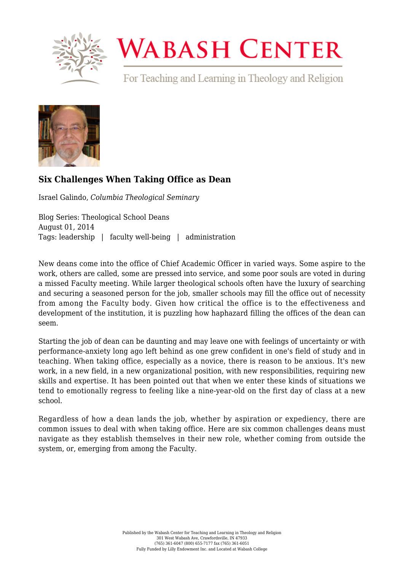

## **WABASH CENTER**

For Teaching and Learning in Theology and Religion



## **[Six Challenges When Taking Office as Dean](https://www.wabashcenter.wabash.edu/2014/08/six-challenges-when-taking-office-as-dean/)**

Israel Galindo, *Columbia Theological Seminary*

Blog Series: Theological School Deans August 01, 2014 Tags: leadership | faculty well-being | administration

New deans come into the office of Chief Academic Officer in varied ways. Some aspire to the work, others are called, some are pressed into service, and some poor souls are voted in during a missed Faculty meeting. While larger theological schools often have the luxury of searching and securing a seasoned person for the job, smaller schools may fill the office out of necessity from among the Faculty body. Given how critical the office is to the effectiveness and development of the institution, it is puzzling how haphazard filling the offices of the dean can seem.

Starting the job of dean can be daunting and may leave one with feelings of uncertainty or with performance-anxiety long ago left behind as one grew confident in one's field of study and in teaching. When taking office, especially as a novice, there is reason to be anxious. It's new work, in a new field, in a new organizational position, with new responsibilities, requiring new skills and expertise. It has been pointed out that when we enter these kinds of situations we tend to emotionally regress to feeling like a nine-year-old on the first day of class at a new school.

Regardless of how a dean lands the job, whether by aspiration or expediency, there are common issues to deal with when taking office. Here are six common challenges deans must navigate as they establish themselves in their new role, whether coming from outside the system, or, emerging from among the Faculty.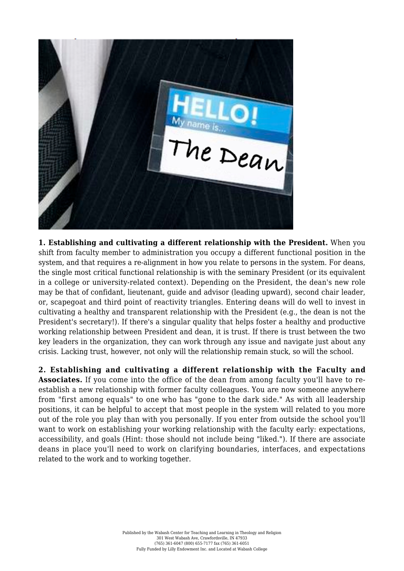

**1. Establishing and cultivating a different relationship with the President.** When you shift from faculty member to administration you occupy a different functional position in the system, and that requires a re-alignment in how you relate to persons in the system. For deans, the single most critical functional relationship is with the seminary President (or its equivalent in a college or university-related context). Depending on the President, the dean's new role may be that of confidant, lieutenant, guide and advisor (leading upward), second chair leader, or, scapegoat and third point of reactivity triangles. Entering deans will do well to invest in cultivating a healthy and transparent relationship with the President (e.g., the dean is not the President's secretary!). If there's a singular quality that helps foster a healthy and productive working relationship between President and dean, it is trust. If there is trust between the two key leaders in the organization, they can work through any issue and navigate just about any crisis. Lacking trust, however, not only will the relationship remain stuck, so will the school.

**2. Establishing and cultivating a different relationship with the Faculty and Associates.** If you come into the office of the dean from among faculty you'll have to reestablish a new relationship with former faculty colleagues. You are now someone anywhere from "first among equals" to one who has "gone to the dark side." As with all leadership positions, it can be helpful to accept that most people in the system will related to you more out of the role you play than with you personally. If you enter from outside the school you'll want to work on establishing your working relationship with the faculty early: expectations, accessibility, and goals (Hint: those should not include being "liked."). If there are associate deans in place you'll need to work on clarifying boundaries, interfaces, and expectations related to the work and to working together.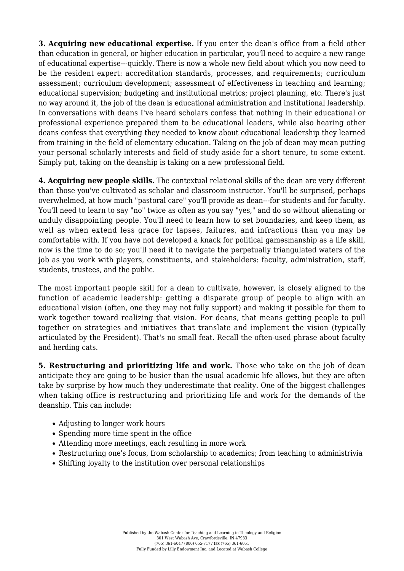**3. Acquiring new educational expertise.** If you enter the dean's office from a field other than education in general, or higher education in particular, you'll need to acquire a new range of educational expertise---quickly. There is now a whole new field about which you now need to be the resident expert: accreditation standards, processes, and requirements; curriculum assessment; curriculum development; assessment of effectiveness in teaching and learning; educational supervision; budgeting and institutional metrics; project planning, etc. There's just no way around it, the job of the dean is educational administration and institutional leadership. In conversations with deans I've heard scholars confess that nothing in their educational or professional experience prepared them to be educational leaders, while also hearing other deans confess that everything they needed to know about educational leadership they learned from training in the field of elementary education. Taking on the job of dean may mean putting your personal scholarly interests and field of study aside for a short tenure, to some extent. Simply put, taking on the deanship is taking on a new professional field.

**4. Acquiring new people skills.** The contextual relational skills of the dean are very different than those you've cultivated as scholar and classroom instructor. You'll be surprised, perhaps overwhelmed, at how much "pastoral care" you'll provide as dean---for students and for faculty. You'll need to learn to say "no" twice as often as you say "yes," and do so without alienating or unduly disappointing people. You'll need to learn how to set boundaries, and keep them, as well as when extend less grace for lapses, failures, and infractions than you may be comfortable with. If you have not developed a knack for political gamesmanship as a life skill, now is the time to do so; you'll need it to navigate the perpetually triangulated waters of the job as you work with players, constituents, and stakeholders: faculty, administration, staff, students, trustees, and the public.

The most important people skill for a dean to cultivate, however, is closely aligned to the function of academic leadership: getting a disparate group of people to align with an educational vision (often, one they may not fully support) and making it possible for them to work together toward realizing that vision. For deans, that means getting people to pull together on strategies and initiatives that translate and implement the vision (typically articulated by the President). That's no small feat. Recall the often-used phrase about faculty and herding cats.

**5. Restructuring and prioritizing life and work.** Those who take on the job of dean anticipate they are going to be busier than the usual academic life allows, but they are often take by surprise by how much they underestimate that reality. One of the biggest challenges when taking office is restructuring and prioritizing life and work for the demands of the deanship. This can include:

- Adjusting to longer work hours
- Spending more time spent in the office
- Attending more meetings, each resulting in more work
- Restructuring one's focus, from scholarship to academics; from teaching to administrivia
- Shifting loyalty to the institution over personal relationships